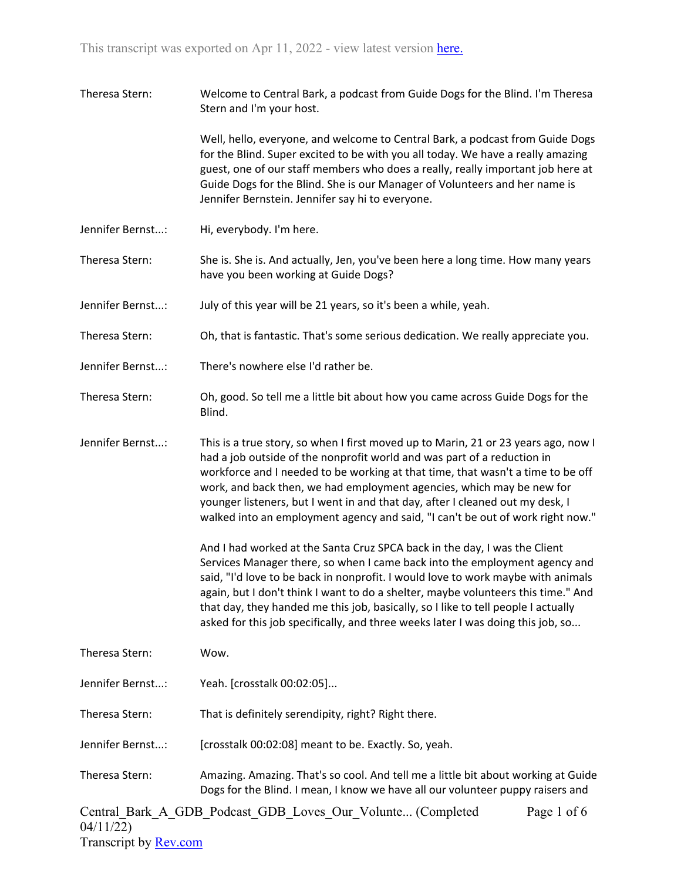| Theresa Stern:   | Welcome to Central Bark, a podcast from Guide Dogs for the Blind. I'm Theresa<br>Stern and I'm your host.                                                                                                                                                                                                                                                                                                                                                                                                |
|------------------|----------------------------------------------------------------------------------------------------------------------------------------------------------------------------------------------------------------------------------------------------------------------------------------------------------------------------------------------------------------------------------------------------------------------------------------------------------------------------------------------------------|
|                  | Well, hello, everyone, and welcome to Central Bark, a podcast from Guide Dogs<br>for the Blind. Super excited to be with you all today. We have a really amazing<br>guest, one of our staff members who does a really, really important job here at<br>Guide Dogs for the Blind. She is our Manager of Volunteers and her name is<br>Jennifer Bernstein. Jennifer say hi to everyone.                                                                                                                    |
| Jennifer Bernst: | Hi, everybody. I'm here.                                                                                                                                                                                                                                                                                                                                                                                                                                                                                 |
| Theresa Stern:   | She is. She is. And actually, Jen, you've been here a long time. How many years<br>have you been working at Guide Dogs?                                                                                                                                                                                                                                                                                                                                                                                  |
| Jennifer Bernst: | July of this year will be 21 years, so it's been a while, yeah.                                                                                                                                                                                                                                                                                                                                                                                                                                          |
| Theresa Stern:   | Oh, that is fantastic. That's some serious dedication. We really appreciate you.                                                                                                                                                                                                                                                                                                                                                                                                                         |
| Jennifer Bernst: | There's nowhere else I'd rather be.                                                                                                                                                                                                                                                                                                                                                                                                                                                                      |
| Theresa Stern:   | Oh, good. So tell me a little bit about how you came across Guide Dogs for the<br>Blind.                                                                                                                                                                                                                                                                                                                                                                                                                 |
| Jennifer Bernst: | This is a true story, so when I first moved up to Marin, 21 or 23 years ago, now I<br>had a job outside of the nonprofit world and was part of a reduction in<br>workforce and I needed to be working at that time, that wasn't a time to be off<br>work, and back then, we had employment agencies, which may be new for<br>younger listeners, but I went in and that day, after I cleaned out my desk, I<br>walked into an employment agency and said, "I can't be out of work right now."             |
|                  | And I had worked at the Santa Cruz SPCA back in the day, I was the Client<br>Services Manager there, so when I came back into the employment agency and<br>said, "I'd love to be back in nonprofit. I would love to work maybe with animals<br>again, but I don't think I want to do a shelter, maybe volunteers this time." And<br>that day, they handed me this job, basically, so I like to tell people I actually<br>asked for this job specifically, and three weeks later I was doing this job, so |
| Theresa Stern:   | Wow.                                                                                                                                                                                                                                                                                                                                                                                                                                                                                                     |
| Jennifer Bernst: | Yeah. [crosstalk 00:02:05]                                                                                                                                                                                                                                                                                                                                                                                                                                                                               |
| Theresa Stern:   | That is definitely serendipity, right? Right there.                                                                                                                                                                                                                                                                                                                                                                                                                                                      |
| Jennifer Bernst: | [crosstalk 00:02:08] meant to be. Exactly. So, yeah.                                                                                                                                                                                                                                                                                                                                                                                                                                                     |
| Theresa Stern:   | Amazing. Amazing. That's so cool. And tell me a little bit about working at Guide<br>Dogs for the Blind. I mean, I know we have all our volunteer puppy raisers and                                                                                                                                                                                                                                                                                                                                      |
|                  | Central Bark A GDB Podcast GDB Loves Our Volunte (Completed<br>Page 1 of 6                                                                                                                                                                                                                                                                                                                                                                                                                               |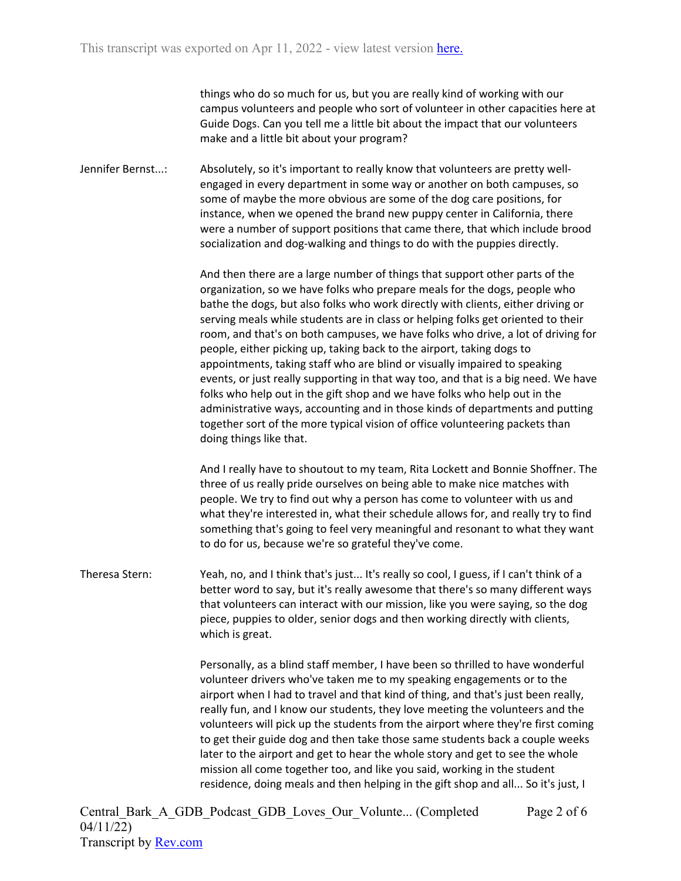things who do so much for us, but you are really kind of working with our campus volunteers and people who sort of volunteer in other capacities here at Guide Dogs. Can you tell me a little bit about the impact that our volunteers make and a little bit about your program?

Jennifer Bernst...: Absolutely, so it's important to really know that volunteers are pretty wellengaged in every department in some way or another on both campuses, so some of maybe the more obvious are some of the dog care positions, for instance, when we opened the brand new puppy center in California, there were a number of support positions that came there, that which include brood socialization and dog-walking and things to do with the puppies directly.

> And then there are a large number of things that support other parts of the organization, so we have folks who prepare meals for the dogs, people who bathe the dogs, but also folks who work directly with clients, either driving or serving meals while students are in class or helping folks get oriented to their room, and that's on both campuses, we have folks who drive, a lot of driving for people, either picking up, taking back to the airport, taking dogs to appointments, taking staff who are blind or visually impaired to speaking events, or just really supporting in that way too, and that is a big need. We have folks who help out in the gift shop and we have folks who help out in the administrative ways, accounting and in those kinds of departments and putting together sort of the more typical vision of office volunteering packets than doing things like that.

> And I really have to shoutout to my team, Rita Lockett and Bonnie Shoffner. The three of us really pride ourselves on being able to make nice matches with people. We try to find out why a person has come to volunteer with us and what they're interested in, what their schedule allows for, and really try to find something that's going to feel very meaningful and resonant to what they want to do for us, because we're so grateful they've come.

Theresa Stern: Yeah, no, and I think that's just... It's really so cool, I guess, if I can't think of a better word to say, but it's really awesome that there's so many different ways that volunteers can interact with our mission, like you were saying, so the dog piece, puppies to older, senior dogs and then working directly with clients, which is great.

> Personally, as a blind staff member, I have been so thrilled to have wonderful volunteer drivers who've taken me to my speaking engagements or to the airport when I had to travel and that kind of thing, and that's just been really, really fun, and I know our students, they love meeting the volunteers and the volunteers will pick up the students from the airport where they're first coming to get their guide dog and then take those same students back a couple weeks later to the airport and get to hear the whole story and get to see the whole mission all come together too, and like you said, working in the student residence, doing meals and then helping in the gift shop and all... So it's just, I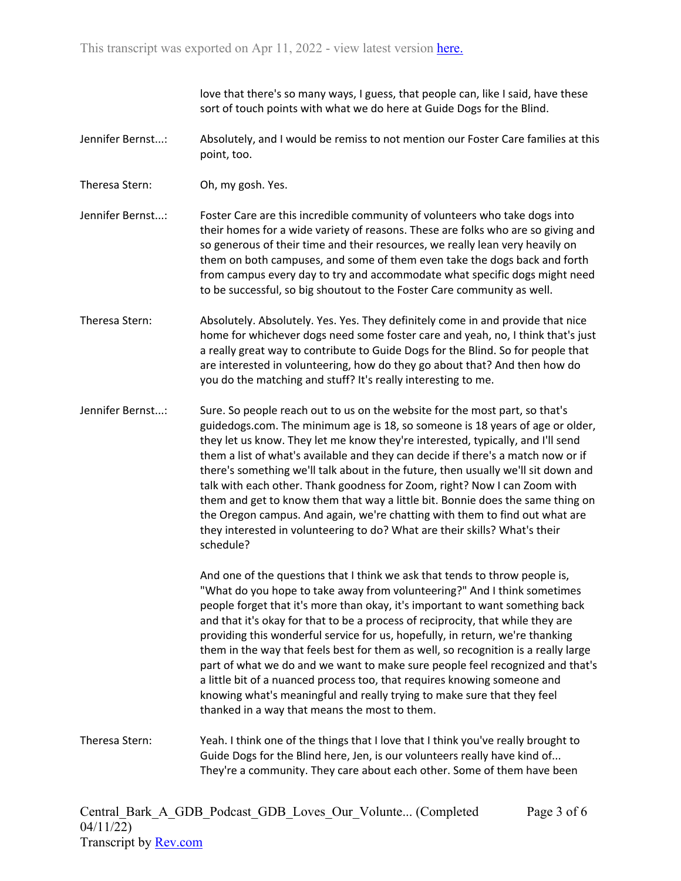love that there's so many ways, I guess, that people can, like I said, have these sort of touch points with what we do here at Guide Dogs for the Blind.

- Jennifer Bernst...: Absolutely, and I would be remiss to not mention our Foster Care families at this point, too.
- Theresa Stern: Oh, my gosh. Yes.

Jennifer Bernst...: Foster Care are this incredible community of volunteers who take dogs into their homes for a wide variety of reasons. These are folks who are so giving and so generous of their time and their resources, we really lean very heavily on them on both campuses, and some of them even take the dogs back and forth from campus every day to try and accommodate what specific dogs might need to be successful, so big shoutout to the Foster Care community as well.

Theresa Stern: Absolutely. Absolutely. Yes. Yes. They definitely come in and provide that nice home for whichever dogs need some foster care and yeah, no, I think that's just a really great way to contribute to Guide Dogs for the Blind. So for people that are interested in volunteering, how do they go about that? And then how do you do the matching and stuff? It's really interesting to me.

Jennifer Bernst...: Sure. So people reach out to us on the website for the most part, so that's guidedogs.com. The minimum age is 18, so someone is 18 years of age or older, they let us know. They let me know they're interested, typically, and I'll send them a list of what's available and they can decide if there's a match now or if there's something we'll talk about in the future, then usually we'll sit down and talk with each other. Thank goodness for Zoom, right? Now I can Zoom with them and get to know them that way a little bit. Bonnie does the same thing on the Oregon campus. And again, we're chatting with them to find out what are they interested in volunteering to do? What are their skills? What's their schedule?

> And one of the questions that I think we ask that tends to throw people is, "What do you hope to take away from volunteering?" And I think sometimes people forget that it's more than okay, it's important to want something back and that it's okay for that to be a process of reciprocity, that while they are providing this wonderful service for us, hopefully, in return, we're thanking them in the way that feels best for them as well, so recognition is a really large part of what we do and we want to make sure people feel recognized and that's a little bit of a nuanced process too, that requires knowing someone and knowing what's meaningful and really trying to make sure that they feel thanked in a way that means the most to them.

Theresa Stern: Yeah. I think one of the things that I love that I think you've really brought to Guide Dogs for the Blind here, Jen, is our volunteers really have kind of... They're a community. They care about each other. Some of them have been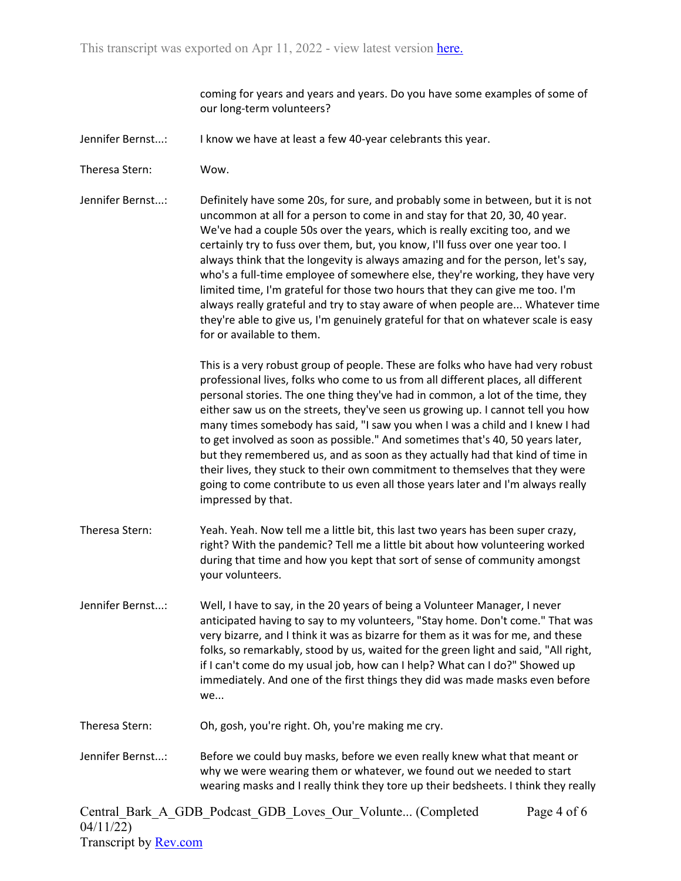coming for years and years and years. Do you have some examples of some of our long-term volunteers?

- Jennifer Bernst...: I know we have at least a few 40-year celebrants this year.
- Theresa Stern: Wow.

Jennifer Bernst...: Definitely have some 20s, for sure, and probably some in between, but it is not uncommon at all for a person to come in and stay for that 20, 30, 40 year. We've had a couple 50s over the years, which is really exciting too, and we certainly try to fuss over them, but, you know, I'll fuss over one year too. I always think that the longevity is always amazing and for the person, let's say, who's a full-time employee of somewhere else, they're working, they have very limited time, I'm grateful for those two hours that they can give me too. I'm always really grateful and try to stay aware of when people are... Whatever time they're able to give us, I'm genuinely grateful for that on whatever scale is easy for or available to them.

> This is a very robust group of people. These are folks who have had very robust professional lives, folks who come to us from all different places, all different personal stories. The one thing they've had in common, a lot of the time, they either saw us on the streets, they've seen us growing up. I cannot tell you how many times somebody has said, "I saw you when I was a child and I knew I had to get involved as soon as possible." And sometimes that's 40, 50 years later, but they remembered us, and as soon as they actually had that kind of time in their lives, they stuck to their own commitment to themselves that they were going to come contribute to us even all those years later and I'm always really impressed by that.

- Theresa Stern: Yeah. Yeah. Now tell me a little bit, this last two years has been super crazy, right? With the pandemic? Tell me a little bit about how volunteering worked during that time and how you kept that sort of sense of community amongst your volunteers.
- Jennifer Bernst...: Well, I have to say, in the 20 years of being a Volunteer Manager, I never anticipated having to say to my volunteers, "Stay home. Don't come." That was very bizarre, and I think it was as bizarre for them as it was for me, and these folks, so remarkably, stood by us, waited for the green light and said, "All right, if I can't come do my usual job, how can I help? What can I do?" Showed up immediately. And one of the first things they did was made masks even before we...
- Theresa Stern: Oh, gosh, you're right. Oh, you're making me cry.
- Jennifer Bernst...: Before we could buy masks, before we even really knew what that meant or why we were wearing them or whatever, we found out we needed to start wearing masks and I really think they tore up their bedsheets. I think they really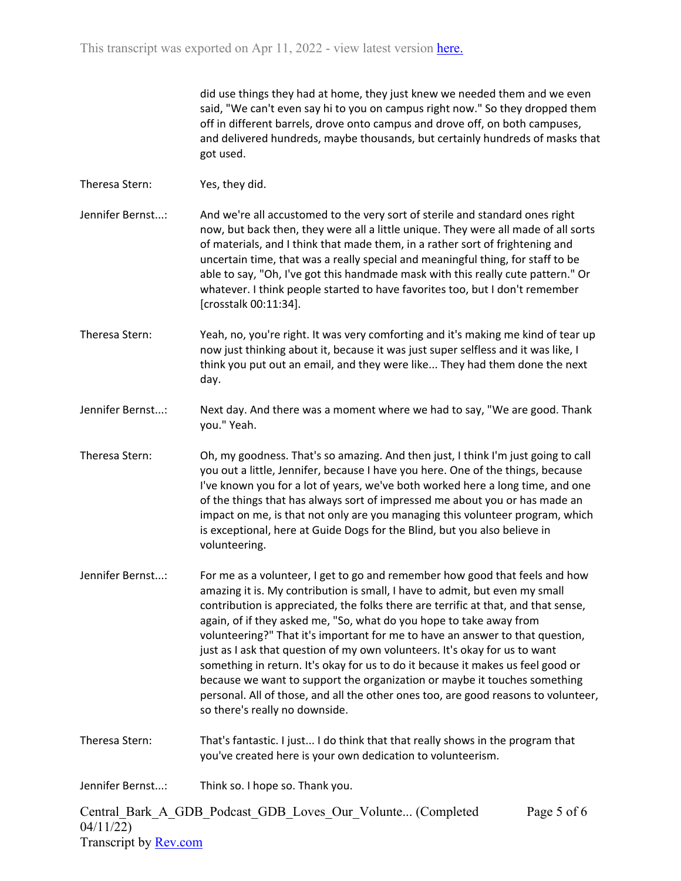did use things they had at home, they just knew we needed them and we even said, "We can't even say hi to you on campus right now." So they dropped them off in different barrels, drove onto campus and drove off, on both campuses, and delivered hundreds, maybe thousands, but certainly hundreds of masks that got used.

Theresa Stern: Yes, they did.

- Jennifer Bernst...: And we're all accustomed to the very sort of sterile and standard ones right now, but back then, they were all a little unique. They were all made of all sorts of materials, and I think that made them, in a rather sort of frightening and uncertain time, that was a really special and meaningful thing, for staff to be able to say, "Oh, I've got this handmade mask with this really cute pattern." Or whatever. I think people started to have favorites too, but I don't remember [crosstalk 00:11:34].
- Theresa Stern: Yeah, no, you're right. It was very comforting and it's making me kind of tear up now just thinking about it, because it was just super selfless and it was like, I think you put out an email, and they were like... They had them done the next day.
- Jennifer Bernst...: Next day. And there was a moment where we had to say, "We are good. Thank you." Yeah.
- Theresa Stern: Oh, my goodness. That's so amazing. And then just, I think I'm just going to call you out a little, Jennifer, because I have you here. One of the things, because I've known you for a lot of years, we've both worked here a long time, and one of the things that has always sort of impressed me about you or has made an impact on me, is that not only are you managing this volunteer program, which is exceptional, here at Guide Dogs for the Blind, but you also believe in volunteering.
- Jennifer Bernst...: For me as a volunteer, I get to go and remember how good that feels and how amazing it is. My contribution is small, I have to admit, but even my small contribution is appreciated, the folks there are terrific at that, and that sense, again, of if they asked me, "So, what do you hope to take away from volunteering?" That it's important for me to have an answer to that question, just as I ask that question of my own volunteers. It's okay for us to want something in return. It's okay for us to do it because it makes us feel good or because we want to support the organization or maybe it touches something personal. All of those, and all the other ones too, are good reasons to volunteer, so there's really no downside.
- Theresa Stern: That's fantastic. I just... I do think that that really shows in the program that you've created here is your own dedication to volunteerism.
- Jennifer Bernst...: Think so. I hope so. Thank you.